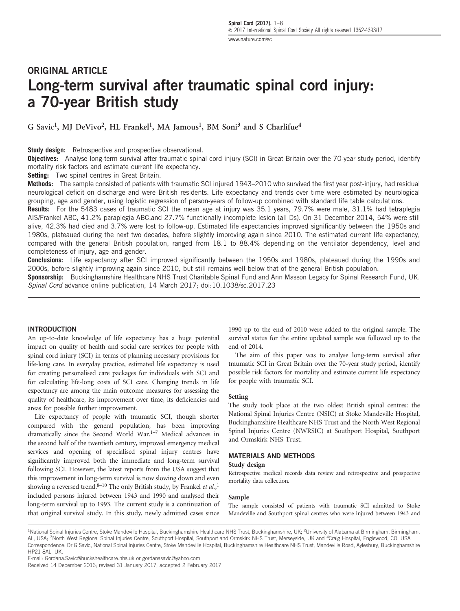# ORIGINAL ARTICLE Long-term survival after traumatic spinal cord injury: a 70-year British study

G Savic<sup>1</sup>, MJ DeVivo<sup>2</sup>, HL Frankel<sup>1</sup>, MA Jamous<sup>1</sup>, BM Soni<sup>3</sup> and S Charlifue<sup>4</sup>

**Study design:** Retrospective and prospective observational.

Objectives: Analyse long-term survival after traumatic spinal cord injury (SCI) in Great Britain over the 70-year study period, identify mortality risk factors and estimate current life expectancy.

Setting: Two spinal centres in Great Britain.

Methods: The sample consisted of patients with traumatic SCI injured 1943–2010 who survived the first year post-injury, had residual neurological deficit on discharge and were British residents. Life expectancy and trends over time were estimated by neurological grouping, age and gender, using logistic regression of person-years of follow-up combined with standard life table calculations.

Results: For the 5483 cases of traumatic SCI the mean age at injury was 35.1 years, 79.7% were male, 31.1% had tetraplegia AIS/Frankel ABC, 41.2% paraplegia ABC,and 27.7% functionally incomplete lesion (all Ds). On 31 December 2014, 54% were still alive, 42.3% had died and 3.7% were lost to follow-up. Estimated life expectancies improved significantly between the 1950s and 1980s, plateaued during the next two decades, before slightly improving again since 2010. The estimated current life expectancy, compared with the general British population, ranged from 18.1 to 88.4% depending on the ventilator dependency, level and completeness of injury, age and gender.

Conclusions: Life expectancy after SCI improved significantly between the 1950s and 1980s, plateaued during the 1990s and 2000s, before slightly improving again since 2010, but still remains well below that of the general British population.

Sponsorship: Buckinghamshire Healthcare NHS Trust Charitable Spinal Fund and Ann Masson Legacy for Spinal Research Fund, UK. Spinal Cord advance online publication, 14 March 2017; doi[:10.1038/sc.2017.23](http://dx.doi.org/10.1038/sc.2017.23)

## INTRODUCTION

An up-to-date knowledge of life expectancy has a huge potential impact on quality of health and social care services for people with spinal cord injury (SCI) in terms of planning necessary provisions for life-long care. In everyday practice, estimated life expectancy is used for creating personalised care packages for individuals with SCI and for calculating life-long costs of SCI care. Changing trends in life expectancy are among the main outcome measures for assessing the quality of healthcare, its improvement over time, its deficiencies and areas for possible further improvement.

Life expectancy of people with traumatic SCI, though shorter compared with the general population, has been improving dramatically since the Second World War.1[–](#page-6-0)<sup>7</sup> Medical advances in the second half of the twentieth century, improved emergency medical services and opening of specialised spinal injury centres have significantly improved both the immediate and long-term survival following SCI. However, the latest reports from the USA suggest that this improvement in long-term survival is now slowing down and even showing a reversed trend.<sup>8-[10](#page-6-0)</sup> The only British study, by Frankel et al.,<sup>[1](#page-6-0)</sup> included persons injured between 1943 and 1990 and analysed their long-term survival up to 1993. The current study is a continuation of that original survival study. In this study, newly admitted cases since

1990 up to the end of 2010 were added to the original sample. The survival status for the entire updated sample was followed up to the end of 2014.

The aim of this paper was to analyse long-term survival after traumatic SCI in Great Britain over the 70-year study period, identify possible risk factors for mortality and estimate current life expectancy for people with traumatic SCI.

## Setting

The study took place at the two oldest British spinal centres: the National Spinal Injuries Centre (NSIC) at Stoke Mandeville Hospital, Buckinghamshire Healthcare NHS Trust and the North West Regional Spinal Injuries Centre (NWRSIC) at Southport Hospital, Southport and Ormskirk NHS Trust.

## MATERIALS AND METHODS

## Study design

Retrospective medical records data review and retrospective and prospective mortality data collection.

#### Sample

The sample consisted of patients with traumatic SCI admitted to Stoke Mandeville and Southport spinal centres who were injured between 1943 and

<sup>1</sup>National Spinal Injuries Centre, Stoke Mandeville Hospital, Buckinghamshire Healthcare NHS Trust, Buckinghamshire, UK; <sup>2</sup>University of Alabama at Birmingham, Birmingham, AL, USA; <sup>3</sup>North West Regional Spinal Injuries Centre, Southport Hospital, Southport and Ormskirk NHS Trust, Merseyside, UK and <sup>4</sup>Craig Hospital, Englewood, CO, USA Correspondence: Dr G Savic, National Spinal Injuries Centre, Stoke Mandeville Hospital, Buckinghamshire Healthcare NHS Trust, Mandeville Road, Aylesbury, Buckinghamshire HP21 8AL, UK.

E-mail: [Gordana.Savic@buckshealthcare.nhs.uk](mailto:Gordana.Savic@buckshealthcare.nhs.uk) or [gordanasavic@yahoo.com](mailto:gordanasavic@yahoo.com)

Received 14 December 2016; revised 31 January 2017; accepted 2 February 2017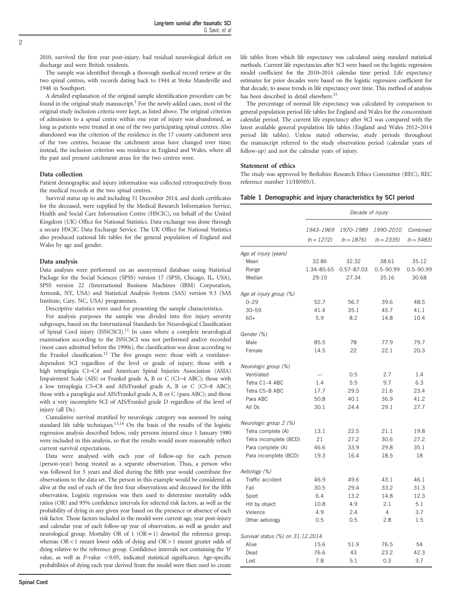<span id="page-1-0"></span>2010, survived the first year post-injury, had residual neurological deficit on discharge and were British residents.

The sample was identified through a thorough medical record review at the two spinal centres, with records dating back to 1944 at Stoke Mandeville and 1948 in Southport.

A detailed explanation of the original sample identification procedure can be found in the original study manuscript.<sup>1</sup> For the newly added cases, most of the original study inclusion criteria were kept, as listed above. The original criterion of admission to a spinal centre within one year of injury was abandoned, as long as patients were treated at one of the two participating spinal centres. Also abandoned was the criterion of the residence in the 17 county catchment area of the two centres, because the catchment areas have changed over time; instead, the inclusion criterion was residence in England and Wales, where all the past and present catchment areas for the two centres were.

#### Data collection

Patient demographic and injury information was collected retrospectively from the medical records at the two spinal centres.

Survival status up to and including 31 December 2014, and death certificates for the deceased, were supplied by the Medical Research Information Service, Health and Social Care Information Centre (HSCIC), on behalf of the United Kingdom (UK) Office for National Statistics. Data exchange was done through a secure HSCIC Data Exchange Service. The UK Office for National Statistics also produced national life tables for the general population of England and Wales by age and gender.

#### Data analysis

Data analyses were performed on an anonymised database using Statistical Package for the Social Sciences (SPSS) version 17 (SPSS, Chicago, IL, USA), SPSS version 22 (International Business Machines (IBM) Corporation, Armonk, NY, USA) and Statistical Analysis System (SAS) version 9.3 (SAS Institute, Cary, NC, USA) programmes.

Descriptive statistics were used for presenting the sample characteristics.

For analysis purposes the sample was divided into five injury severity subgroups, based on the International Standards for Neurological Classification of Spinal Cord injury (ISNCSCI).<sup>11</sup> In cases where a complete neurological examination according to the ISNCSCI was not performed and/or recorded (most cases admitted before the 1990s), the classification was done according to the Frankel classification.<sup>[12](#page-6-0)</sup> The five groups were: those with a ventilatordependent SCI regardless of the level or grade of injury; those with a high tetraplegia C1–C4 and American Spinal Injuries Association (ASIA) Impairment Scale (AIS) or Frankel grade A, B or C (C1–4 ABC); those with a low tetraplegia C5–C8 and AIS/Frankel grade A, B or C (C5–8 ABC); those with a paraplegia and AIS/Frankel grade A, B or C (para ABC); and those with a very incomplete SCI of AIS/Frankel grade D regardless of the level of injury (all Ds).

Cumulative survival stratified by neurologic category was assessed by using standard life table techniques.<sup>[13](#page-6-0),[14](#page-6-0)</sup> On the basis of the results of the logistic regression analysis described below, only persons injured since 1 January 1980 were included in this analysis, so that the results would more reasonably reflect current survival expectations.

Data were analysed with each year of follow-up for each person (person-year) being treated as a separate observation. Thus, a person who was followed for 5 years and died during the fifth year would contribute five observations to the data set. The person in this example would be considered as alive at the end of each of the first four observations and deceased for the fifth observation. Logistic regression was then used to determine mortality odds ratios (OR) and 95% confidence intervals for selected risk factors, as well as the probability of dying in any given year based on the presence or absence of each risk factor. Those factors included in the model were current age, year post-injury and calendar year of each follow-up year of observation, as well as gender and neurological group. Mortality OR of  $1$  (OR = 1) denoted the reference group, whereas  $OR < 1$  meant lower odds of dying and  $OR > 1$  meant greater odds of dying relative to the reference group. Confidence intervals not containing the '0' value, as well as  $P$ -value  $\langle 0.05, 0.05 \rangle$  indicated statistical significance. Age-specific probabilities of dying each year derived from the model were then used to create

life tables from which life expectancy was calculated using standard statistical methods. Current life expectancies after SCI were based on the logistic regression model coefficient for the 2010–2014 calendar time period. Life expectancy estimates for prior decades were based on the logistic regression coefficient for that decade, to assess trends in life expectancy over time. This method of analysis has been described in detail elsewhere.<sup>15</sup>

The percentage of normal life expectancy was calculated by comparison to general population period life tables for England and Wales for the concomitant calendar period. The current life expectancy after SCI was compared with the latest available general population life tables (England and Wales 2012–2014 period life tables). Unless stated otherwise, study periods throughout the manuscript referred to the study observation period (calendar years of follow-up) and not the calendar years of injury.

#### Statement of ethics

The study was approved by Berkshire Research Ethics Committee (REC), REC reference number 11/H0505/1.

|  |  |  | Table 1 Demographic and injury characteristics by SCI period |  |  |  |
|--|--|--|--------------------------------------------------------------|--|--|--|
|--|--|--|--------------------------------------------------------------|--|--|--|

|                                   | Decade of injury |                |                |               |  |  |  |  |
|-----------------------------------|------------------|----------------|----------------|---------------|--|--|--|--|
|                                   | 1943-1969        | 1970-1989      | 1990-2010      | Combined      |  |  |  |  |
|                                   | $(n = 1272)$     | $(n = 1876)$   | $(n = 2335)$   | $(n = 5483)$  |  |  |  |  |
| Age at injury (years)             |                  |                |                |               |  |  |  |  |
| Mean                              | 32.86            | 32.32          | 38.61          | 35.12         |  |  |  |  |
| Range                             | 1.34-85.65       | $0.57 - 87.03$ | $0.5 - 90.99$  | $0.5 - 90.99$ |  |  |  |  |
| Median                            | 29.10            | 27.34          | 35.16          | 30.68         |  |  |  |  |
| Age at injury group (%)           |                  |                |                |               |  |  |  |  |
| $0 - 29$                          | 52.7             | 56.7           | 39.6           | 48.5          |  |  |  |  |
| $30 - 59$                         | 41.4             | 35.1           | 45.7           | 41.1          |  |  |  |  |
| $60+$                             | 5.9              | 8.2            | 14.8           | 10.4          |  |  |  |  |
| Gender (%)                        |                  |                |                |               |  |  |  |  |
| Male                              | 85.5             | 78             | 77.9           | 79.7          |  |  |  |  |
| Female                            | 14.5             | 22             | 22.1           | 20.3          |  |  |  |  |
| Neurologic group (%)              |                  |                |                |               |  |  |  |  |
| Ventilated                        |                  | 0.5            | 2.7            | 1.4           |  |  |  |  |
| Tetra C1-4 ABC                    | 1.4              | 5.5            | 9.7            | 6.3           |  |  |  |  |
| Tetra C5-8 ABC                    | 17.7             | 29.5           | 21.6           | 23.4          |  |  |  |  |
| Para ABC                          | 50.8             | 40.1           | 36.9           | 41.2          |  |  |  |  |
| All Ds                            | 30.1             | 24.4           | 29.1           | 27.7          |  |  |  |  |
| Neurologic group 2 (%)            |                  |                |                |               |  |  |  |  |
| Tetra complete (A)                | 13.1             | 22.5           | 21.1           | 19.8          |  |  |  |  |
| Tetra incomplete (BCD)            | 21               | 27.2           | 30.6           | 27.2          |  |  |  |  |
| Para complete (A)                 | 46.6             | 33.9           | 29.8           | 35.1          |  |  |  |  |
| Para incomplete (BCD)             | 19.3             | 16.4           | 18.5           | 18            |  |  |  |  |
| Aetiology (%)                     |                  |                |                |               |  |  |  |  |
| Traffic accident                  | 46.9             | 49.6           | 43.1           | 46.1          |  |  |  |  |
| Fall                              | 30.5             | 29.4           | 33.2           | 31.3          |  |  |  |  |
| Sport                             | 6.4              | 13.2           | 14.8           | 12.3          |  |  |  |  |
| Hit by object                     | 10.8             | 4.9            | 2.1            | 5.1           |  |  |  |  |
| Violence                          | 4.9              | 2.4            | $\overline{4}$ | 3.7           |  |  |  |  |
| Other aetiology                   | 0.5              | 0.5            | 28             | 1.5           |  |  |  |  |
| Survival status (%) on 31.12.2014 |                  |                |                |               |  |  |  |  |
| Alive                             | 15.6             | 51.9           | 76.5           | 54            |  |  |  |  |
| Dead                              | 76.6             | 43             | 23.2           | 42.3          |  |  |  |  |
| Lost                              | 7.8              | 5.1            | 0.3            | 3.7           |  |  |  |  |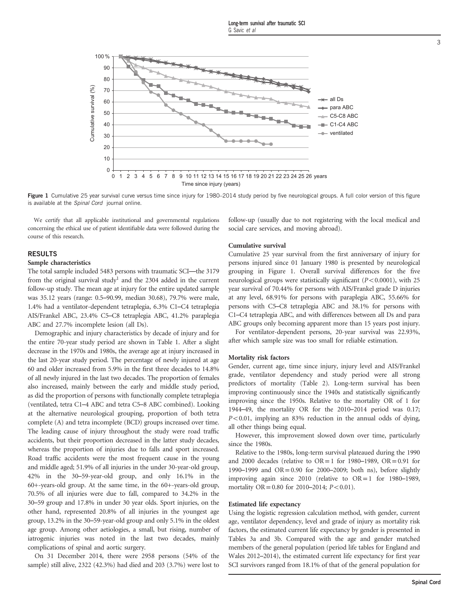

Figure 1 Cumulative 25 year survival curve versus time since injury for 1980–2014 study period by five neurological groups. A full color version of this figure is available at the Spinal Cord journal online.

We certify that all applicable institutional and governmental regulations concerning the ethical use of patient identifiable data were followed during the course of this research.

## RESULTS

### Sample characteristics

The total sample included 5483 persons with traumatic SCI—the 3179 from the original survival study<sup>[1](#page-6-0)</sup> and the 2304 added in the current follow-up study. The mean age at injury for the entire updated sample was 35.12 years (range: 0.5–90.99, median 30.68), 79.7% were male, 1.4% had a ventilator-dependent tetraplegia, 6.3% C1–C4 tetraplegia AIS/Frankel ABC, 23.4% C5–C8 tetraplegia ABC, 41.2% paraplegia ABC and 27.7% incomplete lesion (all Ds).

Demographic and injury characteristics by decade of injury and for the entire 70-year study period are shown in [Table 1](#page-1-0). After a slight decrease in the 1970s and 1980s, the average age at injury increased in the last 20-year study period. The percentage of newly injured at age 60 and older increased from 5.9% in the first three decades to 14.8% of all newly injured in the last two decades. The proportion of females also increased, mainly between the early and middle study period, as did the proportion of persons with functionally complete tetraplegia (ventilated, tetra C1–4 ABC and tetra C5–8 ABC combined). Looking at the alternative neurological grouping, proportion of both tetra complete (A) and tetra incomplete (BCD) groups increased over time. The leading cause of injury throughout the study were road traffic accidents, but their proportion decreased in the latter study decades, whereas the proportion of injuries due to falls and sport increased. Road traffic accidents were the most frequent cause in the young and middle aged; 51.9% of all injuries in the under 30-year-old group, 42% in the 30–59-year-old group, and only 16.1% in the 60+-years-old group. At the same time, in the 60+-years-old group, 70.5% of all injuries were due to fall, compared to 34.2% in the 30–59 group and 17.8% in under 30 year olds. Sport injuries, on the other hand, represented 20.8% of all injuries in the youngest age group, 13.2% in the 30–59-year-old group and only 5.1% in the oldest age group. Among other aetiologies, a small, but rising, number of iatrogenic injuries was noted in the last two decades, mainly complications of spinal and aortic surgery.

On 31 December 2014, there were 2958 persons (54% of the sample) still alive, 2322 (42.3%) had died and 203 (3.7%) were lost to follow-up (usually due to not registering with the local medical and social care services, and moving abroad).

#### Cumulative survival

Cumulative 25 year survival from the first anniversary of injury for persons injured since 01 January 1980 is presented by neurological grouping in Figure 1. Overall survival differences for the five neurological groups were statistically significant  $(P<0.0001)$ , with 25 year survival of 70.44% for persons with AIS/Frankel grade D injuries at any level, 68.91% for persons with paraplegia ABC, 55.66% for persons with C5–C8 tetraplegia ABC and 38.1% for persons with C1–C4 tetraplegia ABC, and with differences between all Ds and para ABC groups only becoming apparent more than 15 years post injury.

For ventilator-dependent persons, 20-year survival was 22.93%, after which sample size was too small for reliable estimation.

### Mortality risk factors

Gender, current age, time since injury, injury level and AIS/Frankel grade, ventilator dependency and study period were all strong predictors of mortality ([Table 2\)](#page-3-0). Long-term survival has been improving continuously since the 1940s and statistically significantly improving since the 1950s. Relative to the mortality OR of 1 for 1944–49, the mortality OR for the 2010–2014 period was 0.17;  $P<0.01$ , implying an 83% reduction in the annual odds of dying, all other things being equal.

However, this improvement slowed down over time, particularly since the 1980s.

Relative to the 1980s, long-term survival plateaued during the 1990 and 2000 decades (relative to  $OR = 1$  for 1980–1989,  $OR = 0.91$  for 1990–1999 and OR=0.90 for 2000–2009; both ns), before slightly improving again since 2010 (relative to  $OR=1$  for 1980–1989, mortality OR = 0.80 for 2010–2014;  $P < 0.01$ ).

### Estimated life expectancy

Using the logistic regression calculation method, with gender, current age, ventilator dependency, level and grade of injury as mortality risk factors, the estimated current life expectancy by gender is presented in [Tables 3a and 3b.](#page-4-0) Compared with the age and gender matched members of the general population (period life tables for England and Wales 2012–2014), the estimated current life expectancy for first year SCI survivors ranged from 18.1% of that of the general population for

3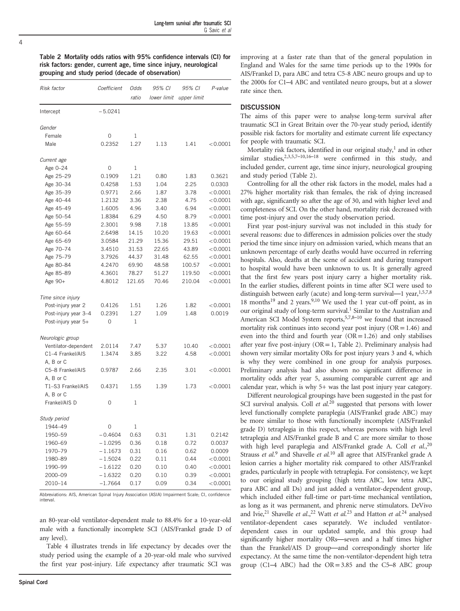<span id="page-3-0"></span> $\overline{A}$ 

Table 2 Mortality odds ratios with 95% confidence intervals (CI) for risk factors: gender, current age, time since injury, neurological grouping and study period (decade of observation)

| Risk factor          | Coefficient | Odds   | 95% CI      | 95% CI      | P-value     |  |
|----------------------|-------------|--------|-------------|-------------|-------------|--|
|                      |             | ratio  | lower limit | upper limit |             |  |
| Intercept            | $-5.0241$   |        |             |             |             |  |
| Gender               |             |        |             |             |             |  |
| Female               | 0           | 1      |             |             |             |  |
| Male                 | 0.2352      | 1.27   | 1.13        | 1.41        | < 0.0001    |  |
| Current age          |             |        |             |             |             |  |
| Age 0-24             | 0           | 1      |             |             |             |  |
| Age 25-29            | 0.1909      | 1.21   | 0.80        | 1.83        | 0.3621      |  |
| Age 30-34            | 0.4258      | 1.53   | 1.04        | 2.25        | 0.0303      |  |
| Age 35-39            | 0.9771      | 2.66   | 1.87        | 3.78        | < 0.0001    |  |
| Age 40-44            | 1.2132      | 3.36   | 2.38        | 4.75        | < 0.0001    |  |
| Age 45-49            | 1.6005      | 4.96   | 3.40        | 6.94        | < 0.0001    |  |
| Age 50-54            | 1.8384      | 6.29   | 4.50        | 8.79        | ${<}0.0001$ |  |
| Age 55-59            | 2.3001      | 9.98   | 7.18        | 13.85       | < 0.0001    |  |
| Age 60-64            | 2.6498      | 14.15  | 10.20       | 19.63       | < 0.0001    |  |
| Age 65-69            | 3.0584      | 21.29  | 15.36       | 29.51       | < 0.0001    |  |
| Age 70-74            | 3.4510      | 31.53  | 22.65       | 43.89       | < 0.0001    |  |
| Age 75-79            | 3.7926      | 44.37  | 31.48       | 62.55       | < 0.0001    |  |
| Age 80-84            | 4.2470      | 69.90  | 48.58       | 100.57      | < 0.0001    |  |
| Age 85-89            | 4.3601      | 78.27  | 51.27       | 119.50      | < 0.0001    |  |
| Age 90+              | 4.8012      | 121.65 | 70.46       | 210.04      | ${<}0.0001$ |  |
| Time since injury    |             |        |             |             |             |  |
| Post-injury year 2   | 0.4126      | 1.51   | 1.26        | 1.82        | < 0.0001    |  |
| Post-injury year 3-4 | 0.2391      | 1.27   | 1.09        | 1.48        | 0.0019      |  |
| Post-injury year 5+  | 0           | 1      |             |             |             |  |
| Neurologic group     |             |        |             |             |             |  |
| Ventilator-dependent | 2.0114      | 7.47   | 5.37        | 10.40       | < 0.0001    |  |
| C1-4 Frankel/AIS     | 1.3474      | 3.85   | 3.22        | 4.58        | < 0.0001    |  |
| A, B or C            |             |        |             |             |             |  |
| C5-8 Frankel/AIS     | 0.9787      | 2.66   | 2.35        | 3.01        | < 0.0001    |  |
| A, B or C            |             |        |             |             |             |  |
| T1-S3 Frankel/AIS    | 0.4371      | 1.55   | 1.39        | 1.73        | < 0.0001    |  |
| A, B or C            |             |        |             |             |             |  |
| Frankel/AIS D        | 0           | 1      |             |             |             |  |
| Study period         |             |        |             |             |             |  |
| 1944-49              | 0           |        |             |             |             |  |
| 1950-59              | -0.4604     | 0.63   | 0.31        | 1.31        | 0.2142      |  |
| 1960-69              | $-1.0295$   | 0.36   | 0.18        | 0.72        | 0.0037      |  |
| 1970-79              | $-1.1673$   | 0.31   | 0.16        | 0.62        | 0.0009      |  |
| 1980-89              | – 1.5024    | 0.22   | 0.11        | 0.44        | < 0.0001    |  |
| 1990-99              | $-1.6122$   | 0.20   | 0.10        | 0.40        | < 0.0001    |  |
| 2000-09              | $-1.6322$   | 0.20   | 0.10        | 0.39        | < 0.0001    |  |
| 2010-14              | $-1.7664$   | 0.17   | 0.09        | 0.34        | < 0.0001    |  |

Abbreviations: AIS, American Spinal Injury Association (ASIA) Impairment Scale; CI, confidence interval.

an 80-year-old ventilator-dependent male to 88.4% for a 10-year-old male with a functionally incomplete SCI (AIS/Frankel grade D of any level).

[Table 4](#page-5-0) illustrates trends in life expectancy by decades over the study period using the example of a 20-year-old male who survived the first year post-injury. Life expectancy after traumatic SCI was improving at a faster rate than that of the general population in England and Wales for the same time periods up to the 1990s for AIS/Frankel D, para ABC and tetra C5-8 ABC neuro groups and up to the 2000s for C1–4 ABC and ventilated neuro groups, but at a slower rate since then.

## **DISCUSSION**

The aims of this paper were to analyse long-term survival after traumatic SCI in Great Britain over the 70-year study period, identify possible risk factors for mortality and estimate current life expectancy for people with traumatic SCI.

Mortality risk factors, identified in our original study,<sup>[1](#page-6-0)</sup> and in other similar studies,  $2,3,5,7-10,16-18$  $2,3,5,7-10,16-18$  $2,3,5,7-10,16-18$  $2,3,5,7-10,16-18$  $2,3,5,7-10,16-18$  were confirmed in this study, and included gender, current age, time since injury, neurological grouping and study period (Table 2).

Controlling for all the other risk factors in the model, males had a 27% higher mortality risk than females, the risk of dying increased with age, significantly so after the age of 30, and with higher level and completeness of SCI. On the other hand, mortality risk decreased with time post-injury and over the study observation period.

First year post-injury survival was not included in this study for several reasons: due to differences in admission policies over the study period the time since injury on admission varied, which means that an unknown percentage of early deaths would have occurred in referring hospitals. Also, deaths at the scene of accident and during transport to hospital would have been unknown to us. It is generally agreed that the first few years post injury carry a higher mortality risk. In the earlier studies, different points in time after SCI were used to distinguish between early (acute) and long-term survival—1 year,  $1,5,7,8$  $1,5,7,8$ 18 months<sup>19</sup> and 2 years.<sup>9,[10](#page-6-0)</sup> We used the 1 year cut-off point, as in our original study of long-term survival.<sup>1</sup> Similar to the Australian and American SCI Model System reports,<sup>5,7,8-[10](#page-6-0)</sup> we found that increased mortality risk continues into second year post injury  $(OR = 1.46)$  and even into the third and fourth year  $(OR=1.26)$  and only stabilises after year five post-injury ( $OR = 1$ , Table 2). Preliminary analysis had shown very similar mortality ORs for post injury years 3 and 4, which is why they were combined in one group for analysis purposes. Preliminary analysis had also shown no significant difference in mortality odds after year 5, assuming comparable current age and calendar year, which is why 5+ was the last post injury year category.

Different neurological groupings have been suggested in the past for SCI survival analysis. Coll et  $al$ <sup>[20](#page-7-0)</sup> suggested that persons with lower level functionally complete paraplegia (AIS/Frankel grade ABC) may be more similar to those with functionally incomplete (AIS/Frankel grade D) tetraplegia in this respect, whereas persons with high level tetraplegia and AIS/Frankel grade B and C are more similar to those with high level paraplegia and AIS/Frankel grade A. Coll et al., [20](#page-7-0) Strauss et al.<sup>[9](#page-6-0)</sup> and Shavelle et al.<sup>[10](#page-6-0)</sup> all agree that AIS/Frankel grade A lesion carries a higher mortality risk compared to other AIS/Frankel grades, particularly in people with tetraplegia. For consistency, we kept to our original study grouping (high tetra ABC, low tetra ABC, para ABC and all Ds) and just added a ventilator-dependent group, which included either full-time or part-time mechanical ventilation, as long as it was permanent, and phrenic nerve stimulators. DeVivo and Ivie,<sup>21</sup> Shavelle et al.,<sup>22</sup> Watt et al.<sup>[23](#page-7-0)</sup> and Hatton et al.<sup>[24](#page-7-0)</sup> analysed ventilator-dependent cases separately. We included ventilatordependent cases in our updated sample, and this group had significantly higher mortality ORs—seven and a half times higher than the Frankel/AIS D group—and correspondingly shorter life expectancy. At the same time the non-ventilator-dependent high tetra group (C1–4 ABC) had the  $OR = 3.85$  and the C5–8 ABC group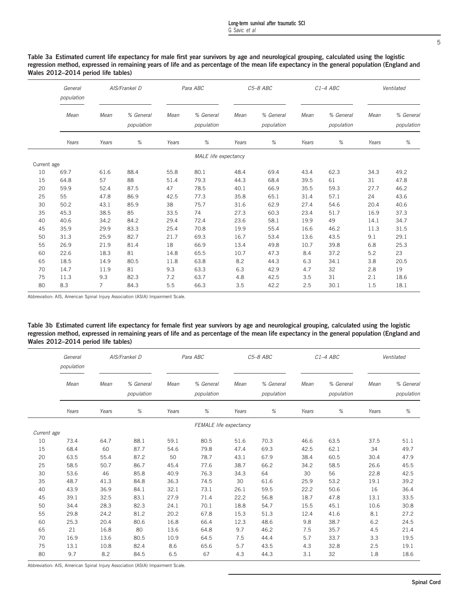5

<span id="page-4-0"></span>Table 3a Estimated current life expectancy for male first year survivors by age and neurological grouping, calculated using the logistic regression method, expressed in remaining years of life and as percentage of the mean life expectancy in the general population (England and Wales 2012–2014 period life tables)

|             | General<br>AIS/Frankel D<br>population |                | Para ABC                |       | $C5-8$ ABC                  |       |                         | $C1-4$ ABC | Ventilated              |       |                         |
|-------------|----------------------------------------|----------------|-------------------------|-------|-----------------------------|-------|-------------------------|------------|-------------------------|-------|-------------------------|
|             | Mean                                   | Mean           | % General<br>population | Mean  | % General<br>population     | Mean  | % General<br>population | Mean       | % General<br>population | Mean  | % General<br>population |
|             | Years                                  | Years          | %                       | Years | %                           | Years | %                       | Years      | %                       | Years | $\%$                    |
|             |                                        |                |                         |       | <b>MALE</b> life expectancy |       |                         |            |                         |       |                         |
| Current age |                                        |                |                         |       |                             |       |                         |            |                         |       |                         |
| 10          | 69.7                                   | 61.6           | 88.4                    | 55.8  | 80.1                        | 48.4  | 69.4                    | 43.4       | 62.3                    | 34.3  | 49.2                    |
| 15          | 64.8                                   | 57             | 88                      | 51.4  | 79.3                        | 44.3  | 68.4                    | 39.5       | 61                      | 31    | 47.8                    |
| 20          | 59.9                                   | 52.4           | 87.5                    | 47    | 78.5                        | 40.1  | 66.9                    | 35.5       | 59.3                    | 27.7  | 46.2                    |
| 25          | 55                                     | 47.8           | 86.9                    | 42.5  | 77.3                        | 35.8  | 65.1                    | 31.4       | 57.1                    | 24    | 43.6                    |
| 30          | 50.2                                   | 43.1           | 85.9                    | 38    | 75.7                        | 31.6  | 62.9                    | 27.4       | 54.6                    | 20.4  | 40.6                    |
| 35          | 45.3                                   | 38.5           | 85                      | 33.5  | 74                          | 27.3  | 60.3                    | 23.4       | 51.7                    | 16.9  | 37.3                    |
| 40          | 40.6                                   | 34.2           | 84.2                    | 29.4  | 72.4                        | 23.6  | 58.1                    | 19.9       | 49                      | 14.1  | 34.7                    |
| 45          | 35.9                                   | 29.9           | 83.3                    | 25.4  | 70.8                        | 19.9  | 55.4                    | 16.6       | 46.2                    | 11.3  | 31.5                    |
| 50          | 31.3                                   | 25.9           | 82.7                    | 21.7  | 69.3                        | 16.7  | 53.4                    | 13.6       | 43.5                    | 9.1   | 29.1                    |
| 55          | 26.9                                   | 21.9           | 81.4                    | 18    | 66.9                        | 13.4  | 49.8                    | 10.7       | 39.8                    | 6.8   | 25.3                    |
| 60          | 22.6                                   | 18.3           | 81                      | 14.8  | 65.5                        | 10.7  | 47.3                    | 8.4        | 37.2                    | 5.2   | 23                      |
| 65          | 18.5                                   | 14.9           | 80.5                    | 11.8  | 63.8                        | 8.2   | 44.3                    | 6.3        | 34.1                    | 3.8   | 20.5                    |
| 70          | 14.7                                   | 11.9           | 81                      | 9.3   | 63.3                        | 6.3   | 42.9                    | 4.7        | 32                      | 2.8   | 19                      |
| 75          | 11.3                                   | 9.3            | 82.3                    | 7.2   | 63.7                        | 4.8   | 42.5                    | 3.5        | 31                      | 2.1   | 18.6                    |
| 80          | 8.3                                    | $\overline{7}$ | 84.3                    | 5.5   | 66.3                        | 3.5   | 42.2                    | 2.5        | 30.1                    | 1.5   | 18.1                    |

Abbreviation: AIS, American Spinal Injury Association (ASIA) Impairment Scale.

Table 3b Estimated current life expectancy for female first year survivors by age and neurological grouping, calculated using the logistic regression method, expressed in remaining years of life and as percentage of the mean life expectancy in the general population (England and Wales 2012–2014 period life tables)

|             | AIS/Frankel D<br>General<br>population |       | Para ABC                |       | C5-8 ABC                |       |                         | $C1-4$ ABC | Ventilated              |       |                         |
|-------------|----------------------------------------|-------|-------------------------|-------|-------------------------|-------|-------------------------|------------|-------------------------|-------|-------------------------|
|             | Mean                                   | Mean  | % General<br>population | Mean  | % General<br>population | Mean  | % General<br>population | Mean       | % General<br>population | Mean  | % General<br>population |
|             | Years                                  | Years | $\%$                    | Years | $\%$                    | Years | %                       | Years      | $\%$                    | Years | $\%$                    |
|             |                                        |       |                         |       | FEMALE life expectancy  |       |                         |            |                         |       |                         |
| Current age |                                        |       |                         |       |                         |       |                         |            |                         |       |                         |
| 10          | 73.4                                   | 64.7  | 88.1                    | 59.1  | 80.5                    | 51.6  | 70.3                    | 46.6       | 63.5                    | 37.5  | 51.1                    |
| 15          | 68.4                                   | 60    | 87.7                    | 54.6  | 79.8                    | 47.4  | 69.3                    | 42.5       | 62.1                    | 34    | 49.7                    |
| 20          | 63.5                                   | 55.4  | 87.2                    | 50    | 78.7                    | 43.1  | 67.9                    | 38.4       | 60.5                    | 30.4  | 47.9                    |
| 25          | 58.5                                   | 50.7  | 86.7                    | 45.4  | 77.6                    | 38.7  | 66.2                    | 34.2       | 58.5                    | 26.6  | 45.5                    |
| 30          | 53.6                                   | 46    | 85.8                    | 40.9  | 76.3                    | 34.3  | 64                      | 30         | 56                      | 22.8  | 42.5                    |
| 35          | 48.7                                   | 41.3  | 84.8                    | 36.3  | 74.5                    | 30    | 61.6                    | 25.9       | 53.2                    | 19.1  | 39.2                    |
| 40          | 43.9                                   | 36.9  | 84.1                    | 32.1  | 73.1                    | 26.1  | 59.5                    | 22.2       | 50.6                    | 16    | 36.4                    |
| 45          | 39.1                                   | 32.5  | 83.1                    | 27.9  | 71.4                    | 22.2  | 56.8                    | 18.7       | 47.8                    | 13.1  | 33.5                    |
| 50          | 34.4                                   | 28.3  | 82.3                    | 24.1  | 70.1                    | 18.8  | 54.7                    | 15.5       | 45.1                    | 10.6  | 30.8                    |
| 55          | 29.8                                   | 24.2  | 81.2                    | 20.2  | 67.8                    | 15.3  | 51.3                    | 12.4       | 41.6                    | 8.1   | 27.2                    |
| 60          | 25.3                                   | 20.4  | 80.6                    | 16.8  | 66.4                    | 12.3  | 48.6                    | 9.8        | 38.7                    | 6.2   | 24.5                    |
| 65          | 21                                     | 16.8  | 80                      | 13.6  | 64.8                    | 9.7   | 46.2                    | 7.5        | 35.7                    | 4.5   | 21.4                    |
| 70          | 16.9                                   | 13.6  | 80.5                    | 10.9  | 64.5                    | 7.5   | 44.4                    | 5.7        | 33.7                    | 3.3   | 19.5                    |
| 75          | 13.1                                   | 10.8  | 82.4                    | 8.6   | 65.6                    | 5.7   | 43.5                    | 4.3        | 32.8                    | 2.5   | 19.1                    |
| 80          | 9.7                                    | 8.2   | 84.5                    | 6.5   | 67                      | 4.3   | 44.3                    | 3.1        | 32                      | 1.8   | 18.6                    |

Abbreviation: AIS, American Spinal Injury Association (ASIA) Impairment Scale.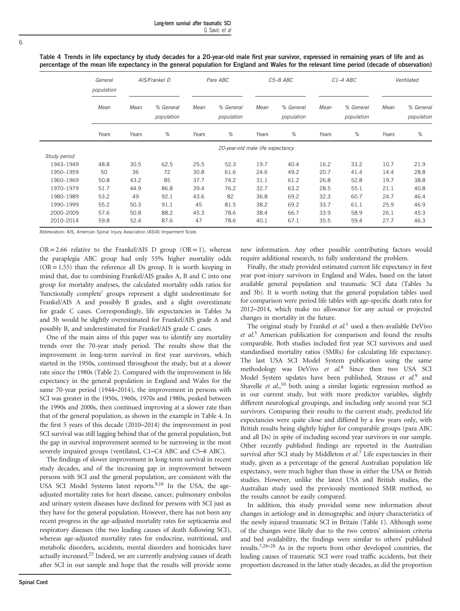<span id="page-5-0"></span>6

|  |  |  |  |  | Table 4 Trends in life expectancy by study decades for a 20-year-old male first year survivor, expressed in remaining years of life and as |                                                                                                                                             |
|--|--|--|--|--|--------------------------------------------------------------------------------------------------------------------------------------------|---------------------------------------------------------------------------------------------------------------------------------------------|
|  |  |  |  |  |                                                                                                                                            | percentage of the mean life expectancy in the general population for England and Wales for the relevant time period (decade of observation) |

|              | General<br>population |       | AIS/Frankel D           |       | Para ABC                         |       | C5-8 ABC                |       | $C1-4$ ABC              |       | Ventilated              |
|--------------|-----------------------|-------|-------------------------|-------|----------------------------------|-------|-------------------------|-------|-------------------------|-------|-------------------------|
|              | Mean                  | Mean  | % General<br>population | Mean  | % General<br>population          | Mean  | % General<br>population | Mean  | % General<br>population | Mean  | % General<br>population |
|              | Years                 | Years | %                       | Years | %                                | Years | %                       | Years | %                       | Years | %                       |
|              |                       |       |                         |       | 20-year-old male life expectancy |       |                         |       |                         |       |                         |
| Study period |                       |       |                         |       |                                  |       |                         |       |                         |       |                         |
| 1943-1949    | 48.8                  | 30.5  | 62.5                    | 25.5  | 52.3                             | 19.7  | 40.4                    | 16.2  | 33.2                    | 10.7  | 21.9                    |
| 1950-1959    | 50                    | 36    | 72                      | 30.8  | 61.6                             | 24.6  | 49.2                    | 20.7  | 41.4                    | 14.4  | 28.8                    |
| 1960-1969    | 50.8                  | 43.2  | 85                      | 37.7  | 74.2                             | 31.1  | 61.2                    | 26.8  | 52.8                    | 19.7  | 38.8                    |
| 1970-1979    | 51.7                  | 44.9  | 86.8                    | 39.4  | 76.2                             | 32.7  | 63.2                    | 28.5  | 55.1                    | 21.1  | 40.8                    |
| 1980-1989    | 53.2                  | 49    | 92.1                    | 43.6  | 82                               | 36.8  | 69.2                    | 32.3  | 60.7                    | 24.7  | 46.4                    |
| 1990-1999    | 55.2                  | 50.3  | 91.1                    | 45    | 81.5                             | 38.2  | 69.2                    | 33.7  | 61.1                    | 25.9  | 46.9                    |
| 2000-2009    | 57.6                  | 50.8  | 88.2                    | 45.3  | 78.6                             | 38.4  | 66.7                    | 33.9  | 58.9                    | 26.1  | 45.3                    |
| 2010-2014    | 59.8                  | 52.4  | 87.6                    | 47    | 78.6                             | 40.1  | 67.1                    | 35.5  | 59.4                    | 27.7  | 46.3                    |

Abbreviation: AIS, American Spinal Injury Association (ASIA) Impairment Scale.

 $OR = 2.66$  relative to the Frankel/AIS D group  $(OR = 1)$ , whereas the paraplegia ABC group had only 55% higher mortality odds  $(OR = 1.55)$  than the reference all Ds group. It is worth keeping in mind that, due to combining Frankel/AIS grades A, B and C into one group for mortality analyses, the calculated mortality odds ratios for 'functionally complete' groups represent a slight underestimate for Frankel/AIS A and possibly B grades, and a slight overestimate for grade C cases. Correspondingly, life expectancies in [Tables 3a](#page-4-0) [and 3b](#page-4-0) would be slightly overestimated for Frankel/AIS grade A and possibly B, and underestimated for Frankel/AIS grade C cases.

One of the main aims of this paper was to identify any mortality trends over the 70-year study period. The results show that the improvement in long-term survival in first year survivors, which started in the 1950s, continued throughout the study, but at a slower rate since the 1980s [\(Table 2](#page-3-0)). Compared with the improvement in life expectancy in the general population in England and Wales for the same 70-year period (1944–2014), the improvement in persons with SCI was greater in the 1950s, 1960s, 1970s and 1980s, peaked between the 1990s and 2000s, then continued improving at a slower rate than that of the general population, as shown in the example in Table 4. In the first 5 years of this decade (2010–2014) the improvement in post SCI survival was still lagging behind that of the general population, but the gap in survival improvement seemed to be narrowing in the most severely impaired groups (ventilated, C1–C4 ABC and C5–8 ABC).

The findings of slower improvement in long-term survival in recent study decades, and of the increasing gap in improvement between persons with SCI and the general population, are consistent with the USA SCI Model Systems latest reports.<sup>[9,10](#page-6-0)</sup> In the USA, the ageadjusted mortality rates for heart disease, cancer, pulmonary embolus and urinary system diseases have declined for persons with SCI just as they have for the general population. However, there has not been any recent progress in the age-adjusted mortality rates for septicaemia and respiratory diseases (the two leading causes of death following SCI), whereas age-adjusted mortality rates for endocrine, nutritional, and metabolic disorders, accidents, mental disorders and homicides have actually increased.<sup>25</sup> Indeed, we are currently analysing causes of death after SCI in our sample and hope that the results will provide some new information. Any other possible contributing factors would require additional research, to fully understand the problem.

Finally, the study provided estimated current life expectancy in first year post-injury survivors in England and Wales, based on the latest available general population and traumatic SCI data [\(Tables 3a](#page-4-0) [and 3b\)](#page-4-0). It is worth noting that the general population tables used for comparison were period life tables with age-specific death rates for 2012–2014, which make no allowance for any actual or projected changes in mortality in the future.

The original study by Frankel et  $al$ <sup>[1](#page-6-0)</sup> used a then-available DeVivo et al.<sup>[5](#page-6-0)</sup> American publication for comparison and found the results comparable. Both studies included first year SCI survivors and used standardised mortality ratios (SMRs) for calculating life expectancy. The last USA SCI Model System publication using the same methodology was DeVivo et al.<sup>[8](#page-6-0)</sup> Since then two USA SCI Model System updates have been published, Strauss  $et$   $al$ <sup>[9](#page-6-0)</sup> and Shavelle et al.,<sup>[10](#page-6-0)</sup> both using a similar logistic regression method as in our current study, but with more predictor variables, slightly different neurological groupings, and including only second year SCI survivors. Comparing their results to the current study, predicted life expectancies were quite close and differed by a few years only, with British results being slightly higher for comparable groups (para ABC and all Ds) in spite of including second year survivors in our sample. Other recently published findings are reported in the Australian survival after SCI study by Middleton et al.<sup>[7](#page-6-0)</sup> Life expectancies in their study, given as a percentage of the general Australian population life expectancy, were much higher than those in either the USA or British studies. However, unlike the latest USA and British studies, the Australian study used the previously mentioned SMR method, so the results cannot be easily compared.

In addition, this study provided some new information about changes in aetiology and in demographic and injury characteristics of the newly injured traumatic SCI in Britain [\(Table 1\)](#page-1-0). Although some of the changes were likely due to the two centres' admission criteria and bed availability, the findings were similar to others' published results[.7](#page-6-0),26–[28](#page-7-0) As in the reports from other developed countries, the leading causes of traumatic SCI were road traffic accidents, but their proportion decreased in the latter study decades, as did the proportion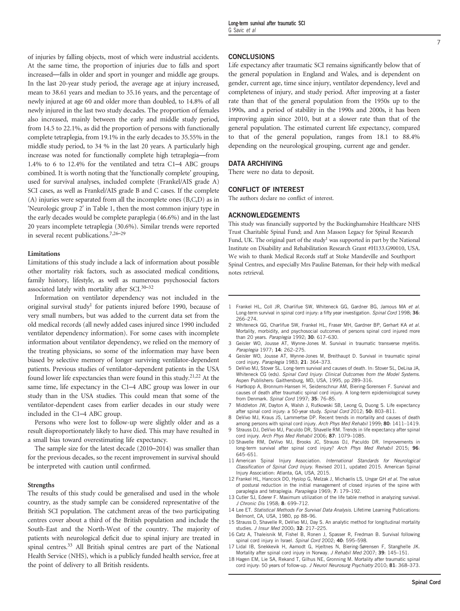<span id="page-6-0"></span>of injuries by falling objects, most of which were industrial accidents. At the same time, the proportion of injuries due to falls and sport increased—falls in older and sport in younger and middle age groups. In the last 20-year study period, the average age at injury increased, mean to 38.61 years and median to 35.16 years, and the percentage of newly injured at age 60 and older more than doubled, to 14.8% of all newly injured in the last two study decades. The proportion of females also increased, mainly between the early and middle study period, from 14.5 to 22.1%, as did the proportion of persons with functionally complete tetraplegia, from 19.1% in the early decades to 35.55% in the middle study period, to 34 % in the last 20 years. A particularly high increase was noted for functionally complete high tetraplegia—from 1.4% to 6 to 12.4% for the ventilated and tetra C1–4 ABC groups combined. It is worth noting that the 'functionally complete' grouping, used for survival analyses, included complete (Frankel/AIS grade A) SCI cases, as well as Frankel/AIS grade B and C cases. If the complete (A) injuries were separated from all the incomplete ones (B,C,D) as in 'Neurologic group 2′ in [Table 1](#page-1-0), then the most common injury type in the early decades would be complete paraplegia (46.6%) and in the last 20 years incomplete tetraplegia (30.6%). Similar trends were reported

#### Limitations

in several recent publications.7,26–[29](#page-7-0)

Limitations of this study include a lack of information about possible other mortality risk factors, such as associated medical conditions, family history, lifestyle, as well as numerous psychosocial factors associated lately with mortality after SCI.30–[32](#page-7-0)

Information on ventilator dependency was not included in the original survival study<sup>1</sup> for patients injured before 1990, because of very small numbers, but was added to the current data set from the old medical records (all newly added cases injured since 1990 included ventilator dependency information). For some cases with incomplete information about ventilator dependency, we relied on the memory of the treating physicians, so some of the information may have been biased by selective memory of longer surviving ventilator-dependent patients. Previous studies of ventilator-dependent patients in the USA found lower life expectancies than were found in this study.<sup>[21,22](#page-7-0)</sup> At the same time, life expectancy in the C1–4 ABC group was lower in our study than in the USA studies. This could mean that some of the ventilator-dependent cases from earlier decades in our study were included in the C1–4 ABC group.

Persons who were lost to follow-up were slightly older and as a result disproportionately likely to have died. This may have resulted in a small bias toward overestimating life expectancy.

The sample size for the latest decade (2010–2014) was smaller than for the previous decades, so the recent improvement in survival should be interpreted with caution until confirmed.

#### **Strengths**

The results of this study could be generalised and used in the whole country, as the study sample can be considered representative of the British SCI population. The catchment areas of the two participating centres cover about a third of the British population and include the South-East and the North-West of the country. The majority of patients with neurological deficit due to spinal injury are treated in spinal centres[.33](#page-7-0) All British spinal centres are part of the National Health Service (NHS), which is a publicly funded health service, free at the point of delivery to all British residents.

#### **CONCLUSIONS**

Life expectancy after traumatic SCI remains significantly below that of the general population in England and Wales, and is dependent on gender, current age, time since injury, ventilator dependency, level and completeness of injury, and study period. After improving at a faster rate than that of the general population from the 1950s up to the 1990s, and a period of stability in the 1990s and 2000s, it has been improving again since 2010, but at a slower rate than that of the general population. The estimated current life expectancy, compared to that of the general population, ranges from 18.1 to 88.4% depending on the neurological grouping, current age and gender.

## DATA ARCHIVING

There were no data to deposit.

#### CONFLICT OF INTEREST

The authors declare no conflict of interest.

#### ACKNOWLEDGEMENTS

This study was financially supported by the Buckinghamshire Healthcare NHS Trust Charitable Spinal Fund; and Ann Masson Legacy for Spinal Research Fund, UK. The original part of the study<sup>1</sup> was supported in part by the National Institute on Disability and Rehabilitation Research Grant #H133.G90010, USA. We wish to thank Medical Records staff at Stoke Mandeville and Southport Spinal Centres, and especially Mrs Pauline Bateman, for their help with medical notes retrieval.

- 1 Frankel HL, Coll JR, Charlifue SW, Whiteneck GG, Gardner BG, Jamous MA et al. Long-term survival in spinal cord injury: a fifty year investigation. Spinal Cord 1998; 36: 266–274.
- 2 Whiteneck GG, Charlifue SW, Frankel HL, Fraser MH, Gardner BP, Gerhart KA et al. Mortality, morbidity, and psychosocial outcomes of persons spinal cord injured more than 20 years. Paraplegia 1992; 30: 617–630.
- 3 Geisler WO, Jousse AT, Wynne-Jones M. Survival in traumatic transverse myelitis. Paraplegia 1977; 14: 262–275.
- Geisler WO, Jousse AT, Wynne-Jones M, Breithaupt D. Survival in traumatic spinal cord injury. Paraplegia 1983; 21: 364–373.
- 5 DeVivo MJ, Stover SL. Long-term survival and causes of death. In: Stover SL, DeLisa JA, Whiteneck CG (eds). Spinal Cord Injury: Clinical Outcomes from the Model Systems. Aspen Publishers: Gaithersburg, MD, USA, 1995, pp 289–316.
- 6 Hartkopp A, Bronnum-Hansen H, Seidenschnur AM, Biering-Sorensen F. Survival and causes of death after traumatic spinal cord injury. A long-term epidemiological survey from Denmark. Spinal Cord 1997: 35: 76-85.
- Middleton JW, Dayton A, Walsh J, Rutkowski SB, Leong G, Duong S. Life expectancy after spinal cord injury: a 50-year study. Spinal Cord 2012; 50: 803-811.
- DeVivo MJ, Kraus JS, Lammertse DP. Recent trends in mortality and causes of death among persons with spinal cord injury. Arch Phys Med Rehabil 1999; 80: 1411-1419.
- Strauss DJ, DeVivo MJ, Paculdo DR, Shavelle RM. Trends in life expectancy after spinal cord injury. Arch Phys Med Rehabil 2006; 87: 1079-1085.
- 10 Shavelle RM, DeVivo MJ, Brooks JC, Strauss DJ, Paculdo DR. Improvements in long-term survival after spinal cord injury? Arch Phys Med Rehabil 2015; 96: 645–651.
- 11 American Spinal Injury Association. International Standards for Neurological Classification of Spinal Cord Injury. Revised 2011, updated 2015. American Spinal Injury Association: Atlanta, GA, USA, 2015.
- 12 Frankel HL, Hancock DO, Hyslop G, Melzak J, Michaelis LS, Ungar GH et al. The value of postural reduction in the initial management of closed injuries of the spine with paraplegia and tetraplegia. Paraplegia 1969; 7: 179–192.
- 13 Cutler SJ, Ederer F. Maximum utilization of the life table method in analyzing survival. J Chronic Dis 1958; 8: 699–712.
- 14 Lee ET. Statistical Methods For Survival Data Analysis. Lifetime Learning Publications: Belmont, CA, USA, 1980, pp 88–96.
- 15 Strauss D, Shavelle R, DeVivo MJ, Day S. An analytic method for longitudinal mortality studies. J Insur Med 2000; 32: 217–225.
- 16 Catz A, Thaleisnik M, Fishel B, Ronen J, Spasser R, Fredman B. Survival following spinal cord injury in Israel. Spinal Cord 2002; 40: 595-598.
- 17 Lidal IB, Snekkevik H, Aamodt G, Hjeltnes N, Biering-Sørensen F, Stanghelle JK. Mortality after spinal cord injury in Norway. J Rehabil Med 2007; 39: 145-151.
- 18 Hagen EM, Lie SA, Rekand T, Gilhus NE, Gronning M. Mortality after traumatic spinal cord injury: 50 years of follow-up. J Neurol Neurosurg Psychiatry 2010; 81: 368-373.